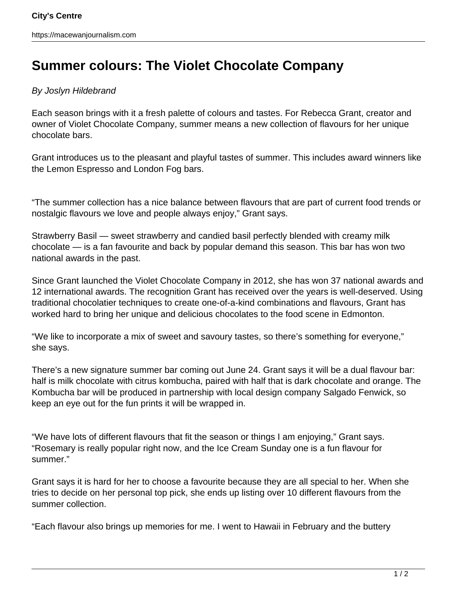## **Summer colours: The Violet Chocolate Company**

## By Joslyn Hildebrand

Each season brings with it a fresh palette of colours and tastes. For Rebecca Grant, creator and owner of Violet Chocolate Company, summer means a new collection of flavours for her unique chocolate bars.

Grant introduces us to the pleasant and playful tastes of summer. This includes award winners like the Lemon Espresso and London Fog bars.

"The summer collection has a nice balance between flavours that are part of current food trends or nostalgic flavours we love and people always enjoy," Grant says.

Strawberry Basil — sweet strawberry and candied basil perfectly blended with creamy milk chocolate — is a fan favourite and back by popular demand this season. This bar has won two national awards in the past.

Since Grant launched the Violet Chocolate Company in 2012, she has won 37 national awards and 12 international awards. The recognition Grant has received over the years is well-deserved. Using traditional chocolatier techniques to create one-of-a-kind combinations and flavours, Grant has worked hard to bring her unique and delicious chocolates to the food scene in Edmonton.

"We like to incorporate a mix of sweet and savoury tastes, so there's something for everyone," she says.

There's a new signature summer bar coming out June 24. Grant says it will be a dual flavour bar: half is milk chocolate with citrus kombucha, paired with half that is dark chocolate and orange. The Kombucha bar will be produced in partnership with local design company Salgado Fenwick, so keep an eye out for the fun prints it will be wrapped in.

"We have lots of different flavours that fit the season or things I am enjoying," Grant says. "Rosemary is really popular right now, and the Ice Cream Sunday one is a fun flavour for summer."

Grant says it is hard for her to choose a favourite because they are all special to her. When she tries to decide on her personal top pick, she ends up listing over 10 different flavours from the summer collection.

"Each flavour also brings up memories for me. I went to Hawaii in February and the buttery